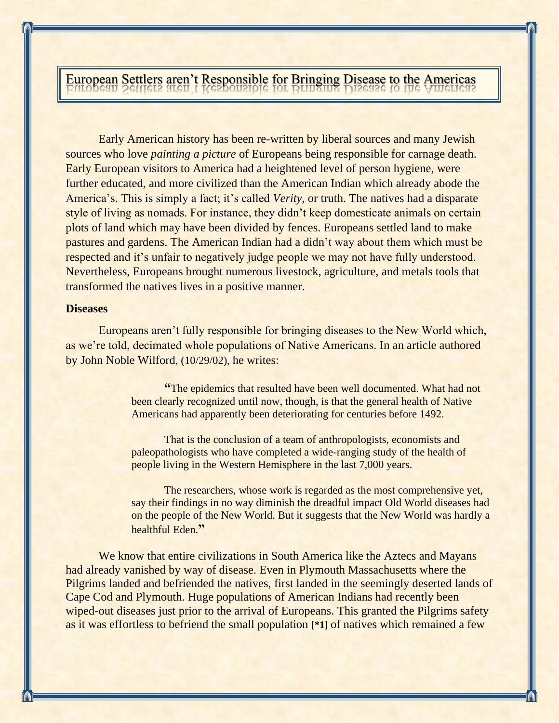European Settlers aren't Responsible for Bringing Disease to the Americas

Early American history has been re-written by liberal sources and many Jewish sources who love *painting a picture* of Europeans being responsible for carnage death. Early European visitors to America had a heightened level of person hygiene, were further educated, and more civilized than the American Indian which already abode the America's. This is simply a fact; it's called *Verity*, or truth. The natives had a disparate style of living as nomads. For instance, they didn't keep domesticate animals on certain plots of land which may have been divided by fences. Europeans settled land to make pastures and gardens. The American Indian had a didn't way about them which must be respected and it's unfair to negatively judge people we may not have fully understood. Nevertheless, Europeans brought numerous livestock, agriculture, and metals tools that transformed the natives lives in a positive manner.

## **Diseases**

Europeans aren't fully responsible for bringing diseases to the New World which, as we're told, decimated whole populations of Native Americans. In an article authored by John Noble Wilford, (10/29/02), he writes:

> **"**The epidemics that resulted have been well documented. What had not been clearly recognized until now, though, is that the general health of Native Americans had apparently been deteriorating for centuries before 1492.

That is the conclusion of a team of anthropologists, economists and paleopathologists who have completed a wide-ranging study of the health of people living in the Western Hemisphere in the last 7,000 years.

The researchers, whose work is regarded as the most comprehensive yet, say their findings in no way diminish the dreadful impact Old World diseases had on the people of the New World. But it suggests that the New World was hardly a healthful Eden.**"**

We know that entire civilizations in South America like the Aztecs and Mayans had already vanished by way of disease. Even in Plymouth Massachusetts where the Pilgrims landed and befriended the natives, first landed in the seemingly deserted lands of Cape Cod and Plymouth. Huge populations of American Indians had recently been wiped-out diseases just prior to the arrival of Europeans. This granted the Pilgrims safety as it was effortless to befriend the small population **[\*1]** of natives which remained a few